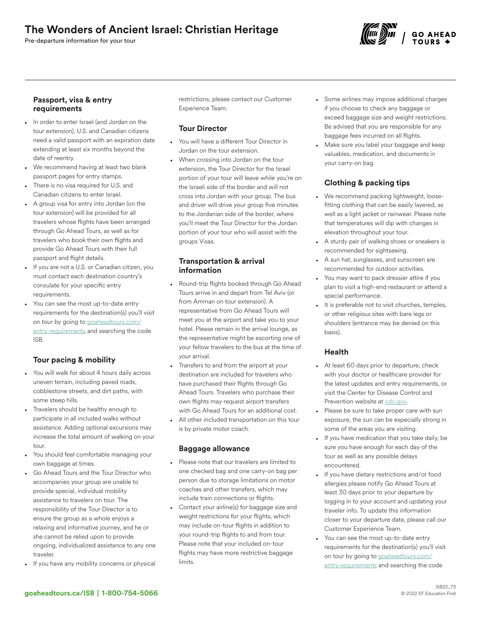# The Wonders of Ancient Israel: Christian Heritage

Pre-departure information for your tour



## Passport, visa & entry requirements

- In order to enter Israel (and Jordan on the tour extension), U.S. and Canadian citizens need a valid passport with an expiration date extending at least six months beyond the date of reentry.
- We recommend having at least two blank passport pages for entry stamps.
- There is no visa required for U.S. and Canadian citizens to enter Israel.
- A group visa for entry into Jordan (on the tour extension) will be provided for all travelers whose flights have been arranged through Go Ahead Tours, as well as for travelers who book their own flights and provide Go Ahead Tours with their full passport and flight details.
- If you are not a U.S. or Canadian citizen, you must contact each destination country's consulate for your specific entry requirements.
- You can see the most up-to-date entry requirements for the destination(s) you'll visit on tour by going to [goaheadtours.com/](/entry-requirements?tourCode=ISB) [entry-requirements](/entry-requirements?tourCode=ISB) and searching the code ISB.

# Tour pacing & mobility

- You will walk for about 4 hours daily across uneven terrain, including paved roads, cobblestone streets, and dirt paths, with some steep hills.
- Travelers should be healthy enough to participate in all included walks without assistance. Adding optional excursions may increase the total amount of walking on your tour.
- You should feel comfortable managing your own baggage at times.
- Go Ahead Tours and the Tour Director who accompanies your group are unable to provide special, individual mobility assistance to travelers on tour. The responsibility of the Tour Director is to ensure the group as a whole enjoys a relaxing and informative journey, and he or she cannot be relied upon to provide ongoing, individualized assistance to any one traveler.
- If you have any mobility concerns or physical

restrictions, please contact our Customer Experience Team.

# Tour Director

- You will have a different Tour Director in Jordan on the tour extension.
- When crossing into Jordan on the tour extension, the Tour Director for the Israel portion of your tour will leave while you're on the Israeli side of the border and will not cross into Jordan with your group. The bus and driver will drive your group five minutes to the Jordanian side of the border, where you'll meet the Tour Director for the Jordan portion of your tour who will assist with the groups Visas.

## Transportation & arrival information

- Round-trip flights booked through Go Ahead Tours arrive in and depart from Tel Aviv (or from Amman on tour extension). A representative from Go Ahead Tours will meet you at the airport and take you to your hotel. Please remain in the arrival lounge, as the representative might be escorting one of your fellow travelers to the bus at the time of your arrival.
- Transfers to and from the airport at your destination are included for travelers who have purchased their flights through Go Ahead Tours. Travelers who purchase their own flights may request airport transfers with Go Ahead Tours for an additional cost.
- All other included transportation on this tour is by private motor coach.

# Baggage allowance

- Please note that our travelers are limited to one checked bag and one carry-on bag per person due to storage limitations on motor coaches and other transfers, which may include train connections or flights.
- Contact your airline(s) for baggage size and weight restrictions for your flights, which may include on-tour flights in addition to your round-trip flights to and from tour. Please note that your included on-tour flights may have more restrictive baggage limits.
- Some airlines may impose additional charges if you choose to check any baggage or exceed baggage size and weight restrictions. Be advised that you are responsible for any baggage fees incurred on all flights.
- Make sure you label your baggage and keep valuables, medication, and documents in your carry-on bag.

# Clothing & packing tips

- We recommend packing lightweight, loosefitting clothing that can be easily layered, as well as a light jacket or rainwear. Please note that temperatures will dip with changes in elevation throughout your tour.
- A sturdy pair of walking shoes or sneakers is recommended for sightseeing.
- A sun hat, sunglasses, and sunscreen are recommended for outdoor activities.
- You may want to pack dressier attire if you plan to visit a high-end restaurant or attend a special performance.
- It is preferable not to visit churches, temples, or other religious sites with bare legs or shoulders (entrance may be denied on this basis).

# Health

- At least 60 days prior to departure, check with your doctor or healthcare provider for the latest updates and entry requirements, or visit the Center for Disease Control and Prevention website at [cdc.gov.](https://www.cdc.gov/)
- Please be sure to take proper care with sun exposure, the sun can be especially strong in some of the areas you are visiting.
- If you have medication that you take daily, be sure you have enough for each day of the tour as well as any possible delays encountered.
- If you have dietary restrictions and/or food allergies please notify Go Ahead Tours at least 30 days prior to your departure by logging in to your account and updating your traveler info. To update this information closer to your departure date, please call our Customer Experience Team.
- You can see the most up-to-date entry requirements for the destination(s) you'll visit on tour by going to [goaheadtours.com/](/entry-requirements?tourCode=ISB) [entry-requirements](/entry-requirements?tourCode=ISB) and searching the code